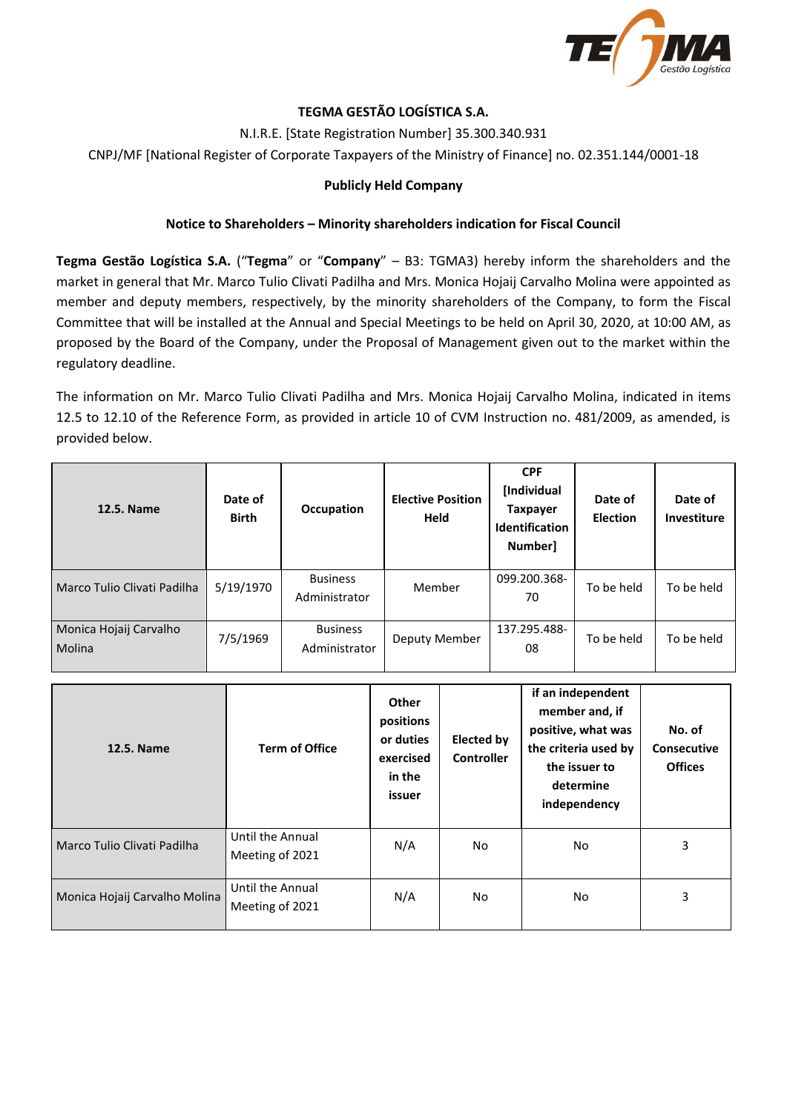

# **TEGMA GESTÃO LOGÍSTICA S.A.**

N.I.R.E. [State Registration Number] 35.300.340.931

CNPJ/MF [National Register of Corporate Taxpayers of the Ministry of Finance] no. 02.351.144/0001-18

#### **Publicly Held Company**

#### **Notice to Shareholders – Minority shareholders indication for Fiscal Council**

**Tegma Gestão Logística S.A.** ("**Tegma**" or "**Company**" – B3: TGMA3) hereby inform the shareholders and the market in general that Mr. Marco Tulio Clivati Padilha and Mrs. Monica Hojaij Carvalho Molina were appointed as member and deputy members, respectively, by the minority shareholders of the Company, to form the Fiscal Committee that will be installed at the Annual and Special Meetings to be held on April 30, 2020, at 10:00 AM, as proposed by the Board of the Company, under the Proposal of Management given out to the market within the regulatory deadline.

The information on Mr. Marco Tulio Clivati Padilha and Mrs. Monica Hojaij Carvalho Molina, indicated in items 12.5 to 12.10 of the Reference Form, as provided in article 10 of CVM Instruction no. 481/2009, as amended, is provided below.

| 12.5. Name                       | Date of<br><b>Birth</b> | Occupation                       | <b>Elective Position</b><br><b>Held</b> | <b>CPF</b><br>[Individual<br><b>Taxpayer</b><br><b>Identification</b><br>Number] | Date of<br><b>Election</b> | Date of<br>Investiture |
|----------------------------------|-------------------------|----------------------------------|-----------------------------------------|----------------------------------------------------------------------------------|----------------------------|------------------------|
| Marco Tulio Clivati Padilha      | 5/19/1970               | <b>Business</b><br>Administrator | Member                                  | 099.200.368-<br>70                                                               | To be held                 | To be held             |
| Monica Hojaij Carvalho<br>Molina | 7/5/1969                | <b>Business</b><br>Administrator | Deputy Member                           | 137.295.488-<br>08                                                               | To be held                 | To be held             |

| 12.5. Name                    | <b>Term of Office</b>               | Other<br>positions<br>or duties<br>exercised<br>in the<br>issuer | <b>Elected by</b><br><b>Controller</b> | if an independent<br>member and, if<br>positive, what was<br>the criteria used by<br>the issuer to<br>determine<br>independency | No. of<br><b>Consecutive</b><br><b>Offices</b> |
|-------------------------------|-------------------------------------|------------------------------------------------------------------|----------------------------------------|---------------------------------------------------------------------------------------------------------------------------------|------------------------------------------------|
| Marco Tulio Clivati Padilha   | Until the Annual<br>Meeting of 2021 | N/A                                                              | <b>No</b>                              | <b>No</b>                                                                                                                       | 3                                              |
| Monica Hojaij Carvalho Molina | Until the Annual<br>Meeting of 2021 | N/A                                                              | <b>No</b>                              | <b>No</b>                                                                                                                       | 3                                              |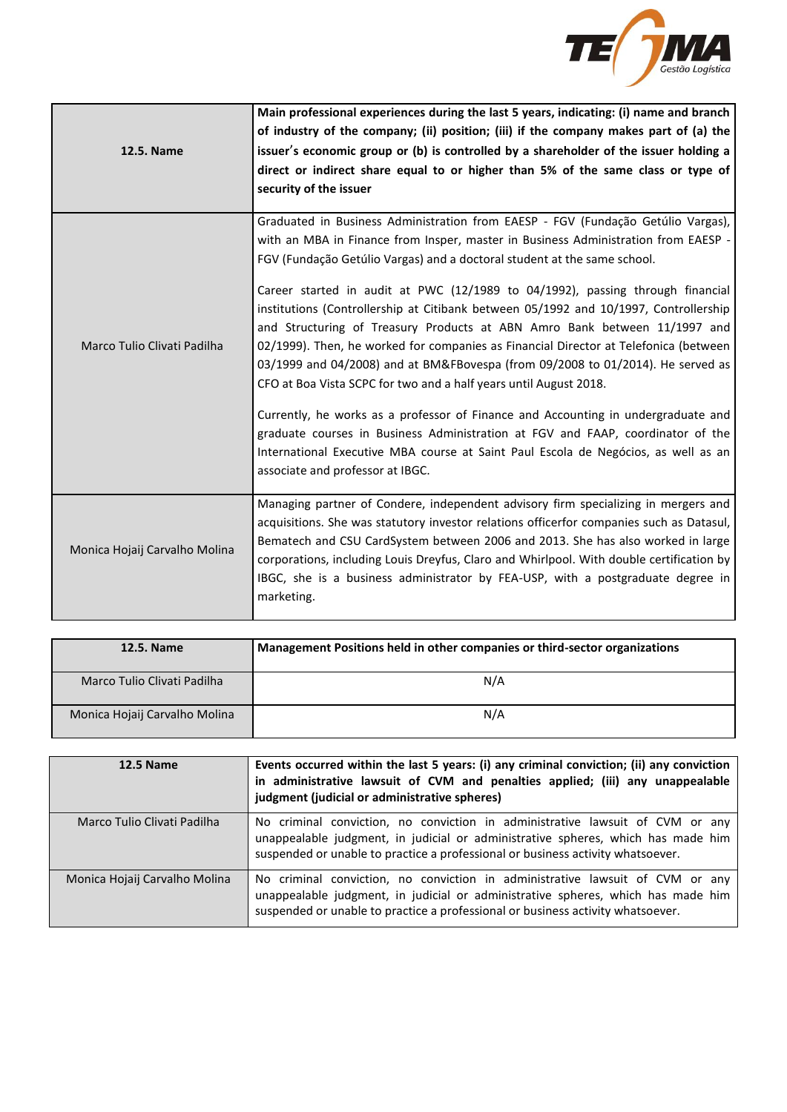

| <b>12.5. Name</b>             | Main professional experiences during the last 5 years, indicating: (i) name and branch<br>of industry of the company; (ii) position; (iii) if the company makes part of (a) the<br>issuer's economic group or (b) is controlled by a shareholder of the issuer holding a<br>direct or indirect share equal to or higher than 5% of the same class or type of<br>security of the issuer                                                                                                                                                                                                                                                                                                                                                                                                                                                                                                                                                                                                                                                                      |
|-------------------------------|-------------------------------------------------------------------------------------------------------------------------------------------------------------------------------------------------------------------------------------------------------------------------------------------------------------------------------------------------------------------------------------------------------------------------------------------------------------------------------------------------------------------------------------------------------------------------------------------------------------------------------------------------------------------------------------------------------------------------------------------------------------------------------------------------------------------------------------------------------------------------------------------------------------------------------------------------------------------------------------------------------------------------------------------------------------|
| Marco Tulio Clivati Padilha   | Graduated in Business Administration from EAESP - FGV (Fundação Getúlio Vargas),<br>with an MBA in Finance from Insper, master in Business Administration from EAESP -<br>FGV (Fundação Getúlio Vargas) and a doctoral student at the same school.<br>Career started in audit at PWC (12/1989 to 04/1992), passing through financial<br>institutions (Controllership at Citibank between 05/1992 and 10/1997, Controllership<br>and Structuring of Treasury Products at ABN Amro Bank between 11/1997 and<br>02/1999). Then, he worked for companies as Financial Director at Telefonica (between<br>03/1999 and 04/2008) and at BM&FBovespa (from 09/2008 to 01/2014). He served as<br>CFO at Boa Vista SCPC for two and a half years until August 2018.<br>Currently, he works as a professor of Finance and Accounting in undergraduate and<br>graduate courses in Business Administration at FGV and FAAP, coordinator of the<br>International Executive MBA course at Saint Paul Escola de Negócios, as well as an<br>associate and professor at IBGC. |
| Monica Hojaij Carvalho Molina | Managing partner of Condere, independent advisory firm specializing in mergers and<br>acquisitions. She was statutory investor relations officerfor companies such as Datasul,<br>Bematech and CSU CardSystem between 2006 and 2013. She has also worked in large<br>corporations, including Louis Dreyfus, Claro and Whirlpool. With double certification by<br>IBGC, she is a business administrator by FEA-USP, with a postgraduate degree in<br>marketing.                                                                                                                                                                                                                                                                                                                                                                                                                                                                                                                                                                                              |

| 12.5. Name                    | Management Positions held in other companies or third-sector organizations |  |  |
|-------------------------------|----------------------------------------------------------------------------|--|--|
| Marco Tulio Clivati Padilha   | N/A                                                                        |  |  |
| Monica Hojaij Carvalho Molina | N/A                                                                        |  |  |

| <b>12.5 Name</b>              | Events occurred within the last 5 years: (i) any criminal conviction; (ii) any conviction<br>in administrative lawsuit of CVM and penalties applied; (iii) any unappealable<br>judgment (judicial or administrative spheres)                         |
|-------------------------------|------------------------------------------------------------------------------------------------------------------------------------------------------------------------------------------------------------------------------------------------------|
| Marco Tulio Clivati Padilha   | No criminal conviction, no conviction in administrative lawsuit of CVM or any<br>unappealable judgment, in judicial or administrative spheres, which has made him<br>suspended or unable to practice a professional or business activity whatsoever. |
| Monica Hojaij Carvalho Molina | No criminal conviction, no conviction in administrative lawsuit of CVM or any<br>unappealable judgment, in judicial or administrative spheres, which has made him<br>suspended or unable to practice a professional or business activity whatsoever. |